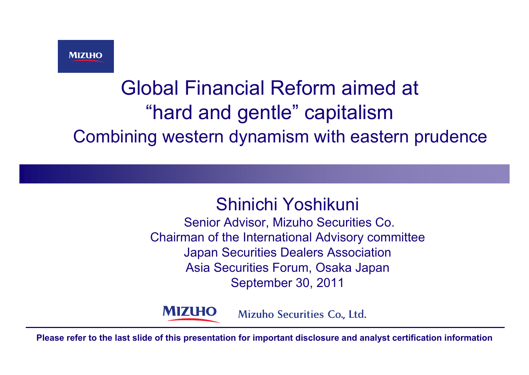# Global Financial Reform aimed at "hard and gentle" capitalism Combining western dynamism with eastern prudence

### Shinichi Yoshikuni

Senior Advisor, Mizuho Securities Co. Chairman of the International Advisory committee Japan Securities Dealers Association Asia Securities Forum, Osaka Japan September 30, 2011

MIZUHO

**Mizuho Securities Co., Ltd.** 

**Please refer to the last slide of this presentation for important disclosure and analyst certification information**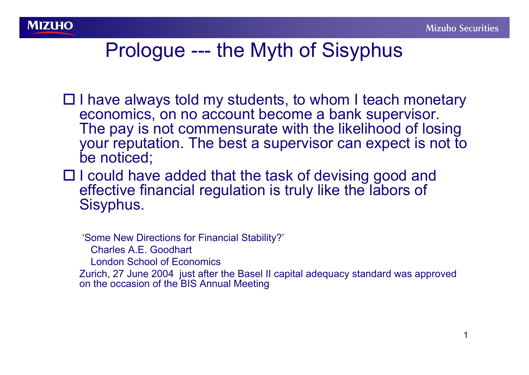

# Prologue --- the Myth of Sisyphus

- $\square$  I have always told my students, to whom I teach monetary economics, on no account become a bank supervisor. The pay is not commensurate with the likelihood of losing your reputation. The best a supervisor can expect is not to be noticed;
- □ I could have added that the task of devising good and effective financial regulation is truly like the labors of Sisyphus.

'Some New Directions for Financial Stability?'

Charles A.E. Goodhart

London School of Economics

Zurich, 27 June 2004 just after the Basel II capital adequacy standard was approved on the occasion of the BIS Annual Meeting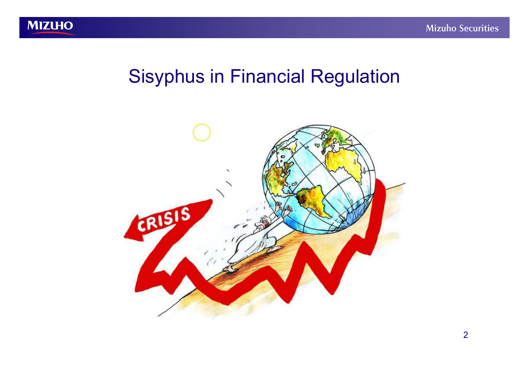

## Sisyphus in Financial Regulation

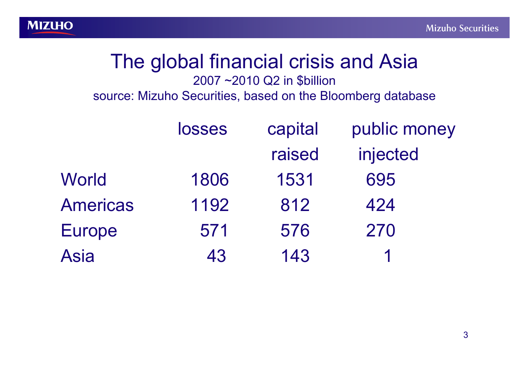

# The global financial crisis and Asia

2007 ~2010 Q2 in \$billion source: Mizuho Securities, based on the Bloomberg database

|                 | <b>losses</b> | capital | public money |  |  |
|-----------------|---------------|---------|--------------|--|--|
|                 |               | raised  | injected     |  |  |
| World           | 1806          | 1531    | 695          |  |  |
| <b>Americas</b> | 1192          | 812     | 424          |  |  |
| <b>Europe</b>   | 571           | 576     | 270          |  |  |
| <b>Asia</b>     | 43            | 143     | 1            |  |  |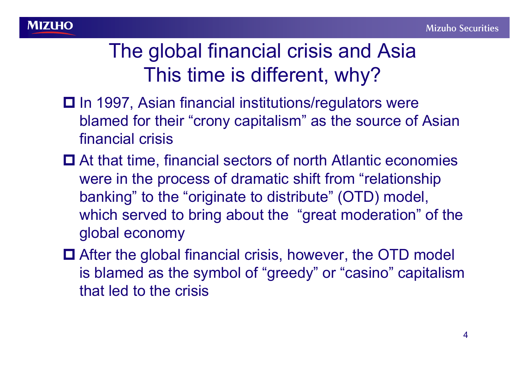

# The global financial crisis and Asia This time is different, why?

- **□ In 1997, Asian financial institutions/regulators were** blamed for their "crony capitalism" as the source of Asian financial crisis
- **□** At that time, financial sectors of north Atlantic economies were in the process of dramatic shift from "relationship banking" to the "originate to distribute" (OTD) model, which served to bring about the "great moderation" of the global economy
- After the global financial crisis, however, the OTD model is blamed as the symbol of "greedy" or "casino" capitalism that led to the crisis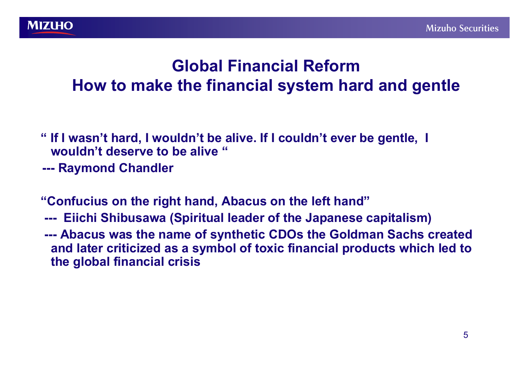

### **Global Financial Reform How to make the financial system hard and gentle**

- **" If I wasn't hard, I wouldn't be alive. If I couldn't ever be gentle, I wouldn't deserve to be alive "--- Raymond Chandler**
- **"Confucius on the right hand, Abacus on the left hand"**
- **--- Eiichi Shibusawa (Spiritual leader of the Japanese capitalism)**
- **--- Abacus was the name of synthetic CDOs the Goldman Sachs created and later criticized as a symbol of toxic financial products which led to the global financial crisis**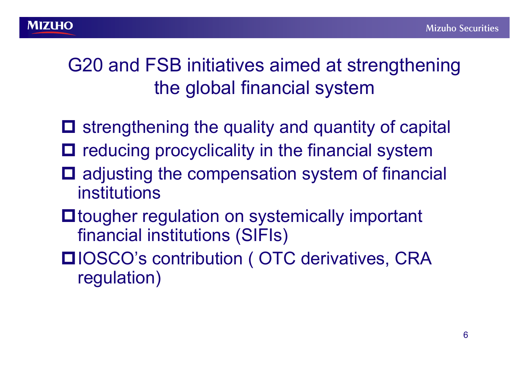# G20 and FSB initiatives aimed at strengthening the global financial system

- $\Box$  strengthening the quality and quantity of capital
- $\blacksquare$  reducing procyclicality in the financial system
- $\Box$  adjusting the compensation system of financial institutions
- **□** tougher regulation on systemically important financial institutions (SIFIs)
- IOSCO's contribution ( OTC derivatives, CRA regulation)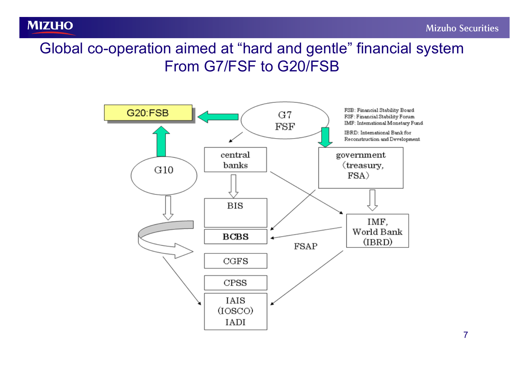#### Global co-operation aimed at "hard and gentle" financial system From G7/FSF to G20/FSB

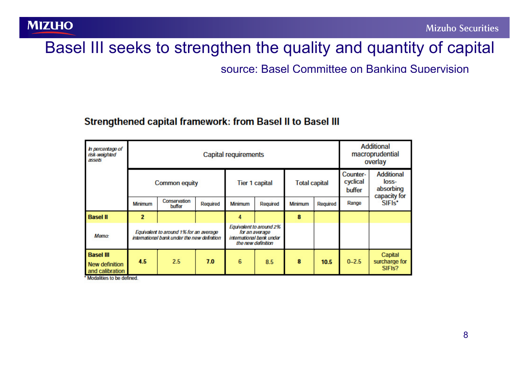### Basel III seeks to strengthen the quality and quantity of capital

source: Basel Committee on Banking Supervision

#### Strengthened capital framework: from Basel II to Basel III

| In percentage of<br>risk-weighted<br>assets           | <b>Capital requirements</b>                                                           |                        |                       |                                                                                             |                      |                |                                |                                                         | <b>Additional</b><br>macroprudential<br>overlay |  |
|-------------------------------------------------------|---------------------------------------------------------------------------------------|------------------------|-----------------------|---------------------------------------------------------------------------------------------|----------------------|----------------|--------------------------------|---------------------------------------------------------|-------------------------------------------------|--|
|                                                       | <b>Common equity</b>                                                                  |                        | <b>Tier 1 capital</b> |                                                                                             | <b>Total capital</b> |                | Counter-<br>cyclical<br>buffer | <b>Additional</b><br>loss-<br>absorbing<br>capacity for |                                                 |  |
|                                                       | Minimum                                                                               | Conservation<br>buffer | Required              | <b>Minimum</b>                                                                              | Required             | <b>Minimum</b> | Required                       | Range                                                   | SIFIs*                                          |  |
| <b>Basel II</b>                                       | $\overline{2}$                                                                        |                        |                       |                                                                                             |                      | 8              |                                |                                                         |                                                 |  |
| <b>Memo:</b>                                          | Equivalent to around 1% for an average<br>international bank under the new definition |                        |                       | Equivalent to around 2%<br>for an average<br>international bank under<br>the new definition |                      |                |                                |                                                         |                                                 |  |
| <b>Basel III</b><br>New definition<br>and calibration | 4.5                                                                                   | 2.5                    | 7.0                   | 6                                                                                           | 8.5                  | 8              | 10.5                           | $0 - 2.5$                                               | Capital<br>surcharge for<br>SIFI <sub>s</sub> ? |  |

' Modalities to be defined.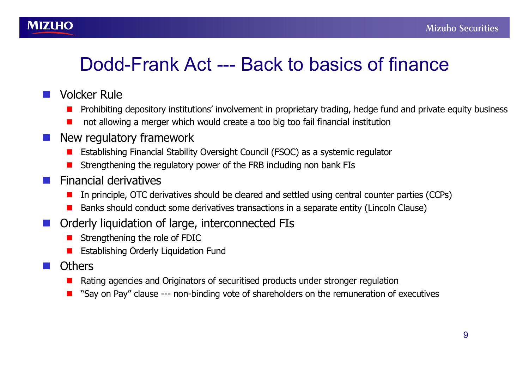# Dodd-Frank Act --- Back to basics of finance

- F Volcker Rule
	- $\blacksquare$ Prohibiting depository institutions' involvement in proprietary trading, hedge fund and private equity business
	- $\blacksquare$ not allowing a merger which would create a too big too fail financial institution
- F New regulatory framework
	- $\blacksquare$ Establishing Financial Stability Oversight Council (FSOC) as a systemic regulator
	- $\blacksquare$ Strengthening the regulatory power of the FRB including non bank FIs
- Financial derivatives
	- $\blacksquare$ In principle, OTC derivatives should be cleared and settled using central counter parties (CCPs)
	- $\mathcal{L}_{\mathcal{A}}$ Banks should conduct some derivatives transactions in a separate entity (Lincoln Clause)
- Orderly liquidation of large, interconnected FIs
	- $\blacksquare$ Strengthening the role of FDIC
	- $\blacksquare$ Establishing Orderly Liquidation Fund
- F **Others** 
	- $\blacksquare$ Rating agencies and Originators of securitised products under stronger regulation
	- $\blacksquare$ "Say on Pay" clause --- non-binding vote of shareholders on the remuneration of executives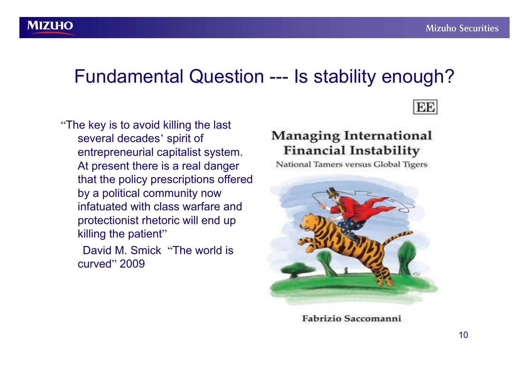ЕE

### Fundamental Question --- Is stability enough?

"The key is to avoid killing the last several decades' spirit of entrepreneurial capitalist system. At present there is a real danger that the policy prescriptions offered by a political community now infatuated with class warfare and protectionist rhetoric will end up killing the patient"

**MIZUHO** 

David M. Smick "The world is curved" 2009

#### **Managing International Financial Instability**

National Tamers versus Global Tigers



**Fabrizio Saccomanni**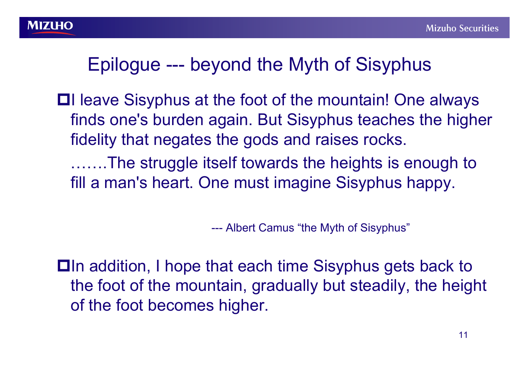

## Epilogue --- beyond the Myth of Sisyphus

 $\Box$  leave Sisyphus at the foot of the mountain! One always finds one's burden again. But Sisyphus teaches the higher fidelity that negates the gods and raises rocks.

…….The struggle itself towards the heights is enough to fill a man's heart. One must imagine Sisyphus happy.

--- Albert Camus "the Myth of Sisyphus"

**□**In addition, I hope that each time Sisyphus gets back to the foot of the mountain, gradually but steadily, the height of the foot becomes higher.